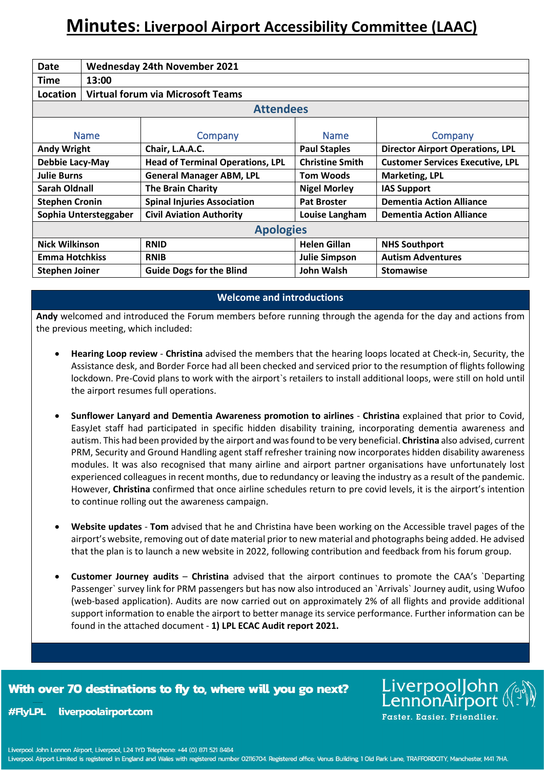# **Minutes: Liverpool Airport Accessibility Committee (LAAC)**

| Date                  | <b>Wednesday 24th November 2021</b>      |                                         |                        |                                         |
|-----------------------|------------------------------------------|-----------------------------------------|------------------------|-----------------------------------------|
| <b>Time</b>           | 13:00                                    |                                         |                        |                                         |
| Location              | <b>Virtual forum via Microsoft Teams</b> |                                         |                        |                                         |
| <b>Attendees</b>      |                                          |                                         |                        |                                         |
| <b>Name</b>           |                                          | Company                                 | <b>Name</b>            | Company                                 |
| <b>Andy Wright</b>    |                                          | Chair, L.A.A.C.                         | <b>Paul Staples</b>    | <b>Director Airport Operations, LPL</b> |
| Debbie Lacy-May       |                                          | <b>Head of Terminal Operations, LPL</b> | <b>Christine Smith</b> | <b>Customer Services Executive, LPL</b> |
| <b>Julie Burns</b>    |                                          | <b>General Manager ABM, LPL</b>         | Tom Woods              | <b>Marketing, LPL</b>                   |
| Sarah Oldnall         |                                          | <b>The Brain Charity</b>                | <b>Nigel Morley</b>    | <b>IAS Support</b>                      |
| <b>Stephen Cronin</b> |                                          | <b>Spinal Injuries Association</b>      | <b>Pat Broster</b>     | <b>Dementia Action Alliance</b>         |
| Sophia Untersteggaber |                                          | <b>Civil Aviation Authority</b>         | Louise Langham         | <b>Dementia Action Alliance</b>         |
| <b>Apologies</b>      |                                          |                                         |                        |                                         |
| <b>Nick Wilkinson</b> |                                          | <b>RNID</b>                             | <b>Helen Gillan</b>    | <b>NHS Southport</b>                    |
| <b>Emma Hotchkiss</b> |                                          | <b>RNIB</b>                             | <b>Julie Simpson</b>   | <b>Autism Adventures</b>                |
| <b>Stephen Joiner</b> |                                          | <b>Guide Dogs for the Blind</b>         | John Walsh             | <b>Stomawise</b>                        |

## **Welcome and introductions**

**Andy** welcomed and introduced the Forum members before running through the agenda for the day and actions from the previous meeting, which included:

- **Hearing Loop review Christina** advised the members that the hearing loops located at Check-in, Security, the Assistance desk, and Border Force had all been checked and serviced prior to the resumption of flights following lockdown. Pre-Covid plans to work with the airport`s retailers to install additional loops, were still on hold until the airport resumes full operations.
- **Sunflower Lanyard and Dementia Awareness promotion to airlines Christina** explained that prior to Covid, EasyJet staff had participated in specific hidden disability training, incorporating dementia awareness and autism. This had been provided by the airport and was found to be very beneficial. **Christina** also advised, current PRM, Security and Ground Handling agent staff refresher training now incorporates hidden disability awareness modules. It was also recognised that many airline and airport partner organisations have unfortunately lost experienced colleagues in recent months, due to redundancy or leaving the industry as a result of the pandemic. However, **Christina** confirmed that once airline schedules return to pre covid levels, it is the airport's intention to continue rolling out the awareness campaign.
- **Website updates Tom** advised that he and Christina have been working on the Accessible travel pages of the airport's website, removing out of date material prior to new material and photographs being added. He advised that the plan is to launch a new website in 2022, following contribution and feedback from his forum group.
- **Customer Journey audits Christina** advised that the airport continues to promote the CAA's `Departing Passenger` survey link for PRM passengers but has now also introduced an `Arrivals` Journey audit, using Wufoo (web-based application). Audits are now carried out on approximately 2% of all flights and provide additional support information to enable the airport to better manage its service performance. Further information can be found in the attached document - **1) LPL ECAC Audit report 2021.**

# With over 70 destinations to fly to, where will you go next?

**#FlvLPL** liverpoolairport.com LiverpoolJohn<br>LennonAirport ( Faster, Easier, Friendlier,

Liverpool John Lennon Airport, Liverpool, L24 1YD Telephone: +44 (0) 871 521 8484

Liverpool Airport Limited is registered in England and Wales with registered number 02116704. Registered office; Venus Building, 1 Old Park Lane, TRAFFORDCITY, Manchester, M41 7HA.